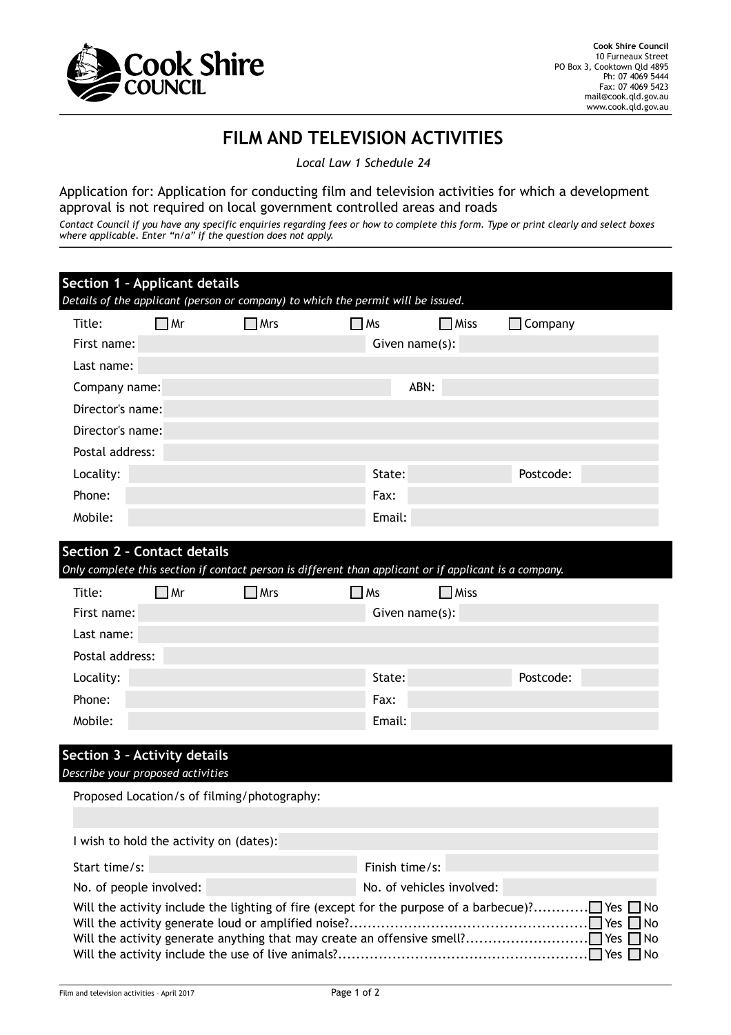

## **FILM AND TELEVISION ACTIVITIES**

*Local Law 1 Schedule 24* 

Application for: Application for conducting film and television activities for which a development approval is not required on local government controlled areas and roads

*Contact Council if you have any specific enquiries regarding fees or how to complete this form. Type or print clearly and select boxes where applicable. Enter "n/a" if the question does not apply.*

| Section 1 - Applicant details      |           | Details of the applicant (person or company) to which the permit will be issued.                       |           |                |           |  |
|------------------------------------|-----------|--------------------------------------------------------------------------------------------------------|-----------|----------------|-----------|--|
| Title:                             | $\Box$ Mr | $\Box$ Mrs                                                                                             | $\Box$ Ms | $\Box$ Miss    | Company   |  |
| First name:                        |           |                                                                                                        |           | Given name(s): |           |  |
| Last name:                         |           |                                                                                                        |           |                |           |  |
| Company name:                      |           |                                                                                                        |           | ABN:           |           |  |
| Director's name:                   |           |                                                                                                        |           |                |           |  |
| Director's name:                   |           |                                                                                                        |           |                |           |  |
| Postal address:                    |           |                                                                                                        |           |                |           |  |
| Locality:                          |           |                                                                                                        | State:    |                | Postcode: |  |
| Phone:                             |           |                                                                                                        | Fax:      |                |           |  |
| Mobile:                            |           |                                                                                                        | Email:    |                |           |  |
|                                    |           |                                                                                                        |           |                |           |  |
| <b>Section 2 - Contact details</b> |           |                                                                                                        |           |                |           |  |
|                                    |           | Only complete this section if contact person is different than applicant or if applicant is a company. |           |                |           |  |
| Title:                             | $\Box$ Mr | $\blacksquare$ Mrs                                                                                     | $\Box$ Ms | $\square$ Miss |           |  |
| First name:                        |           |                                                                                                        |           | Given name(s): |           |  |
|                                    |           |                                                                                                        |           |                |           |  |

| Last name:      |        |           |
|-----------------|--------|-----------|
| Postal address: |        |           |
| Locality:       | State: | Postcode: |
| Phone:          | Fax:   |           |
| Mobile:         | Email: |           |

## **Section 3 – Activity details** *Describe your proposed activities*

Proposed Location/s of filming/photography:

I wish to hold the activity on (dates):

| Start time/s:                                                                                        | Finish time/s:            |  |  |
|------------------------------------------------------------------------------------------------------|---------------------------|--|--|
| No. of people involved:                                                                              | No. of vehicles involved: |  |  |
| Will the activity include the lighting of fire (except for the purpose of a barbecue)? Yes $\Box$ No |                           |  |  |